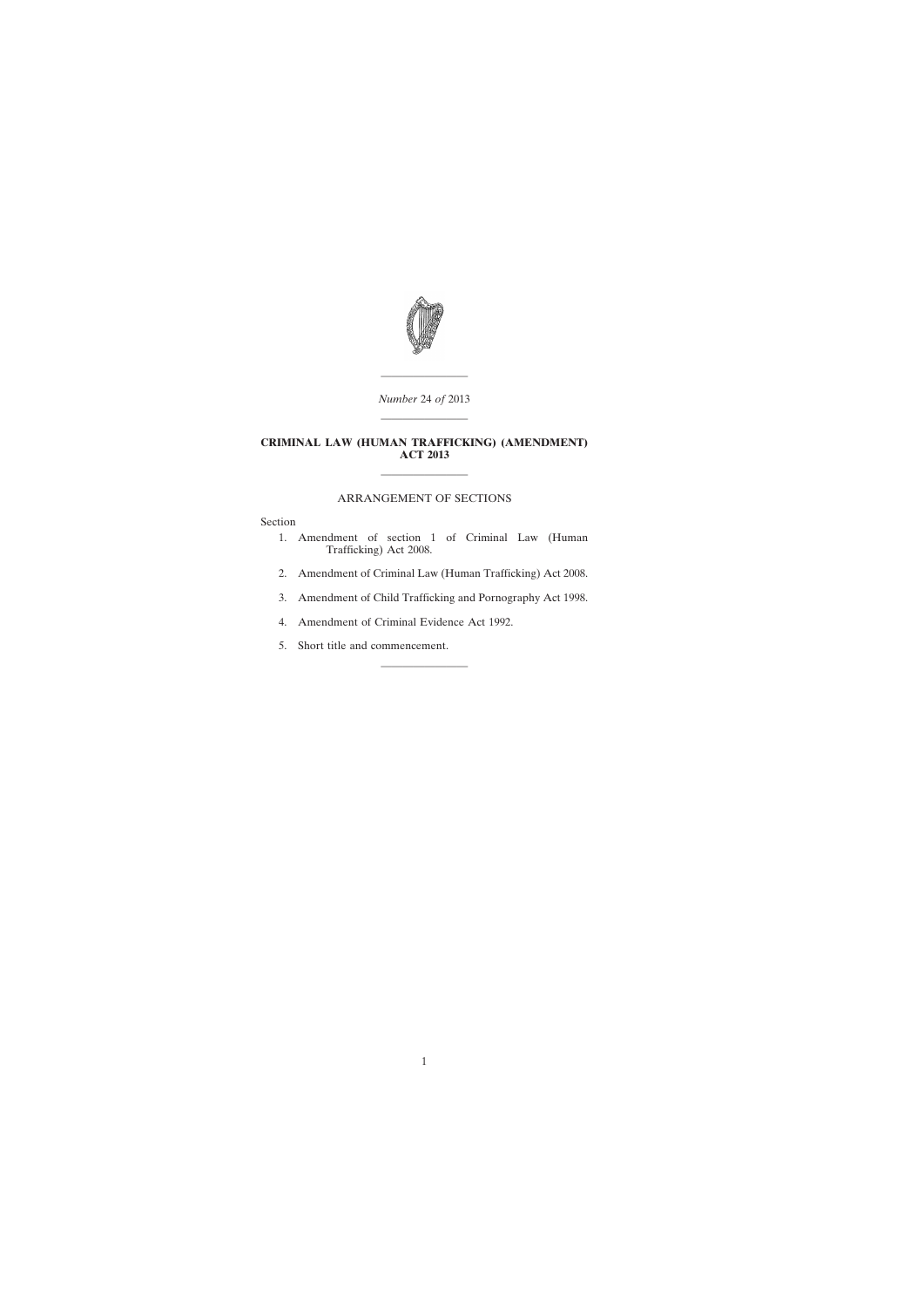

———————— *Number* 24 *of* 2013 ————————

### **CRIMINAL LAW (HUMAN TRAFFICKING) (AMENDMENT) ACT 2013**

# ARRANGEMENT OF SECTIONS

————————

Section

- [1. Amendment of section 1 of Criminal Law \(Human](#page-2-0) Trafficking) Act 2008.
- [2. Amendment of Criminal Law \(Human Trafficking\) Act 2008.](#page-4-0)
- [3. Amendment of Child Trafficking and Pornography Act 1998.](#page-4-0)

————————

- [4. Amendment of Criminal Evidence Act 1992.](#page-5-0)
- [5. Short title and commencement.](#page-6-0)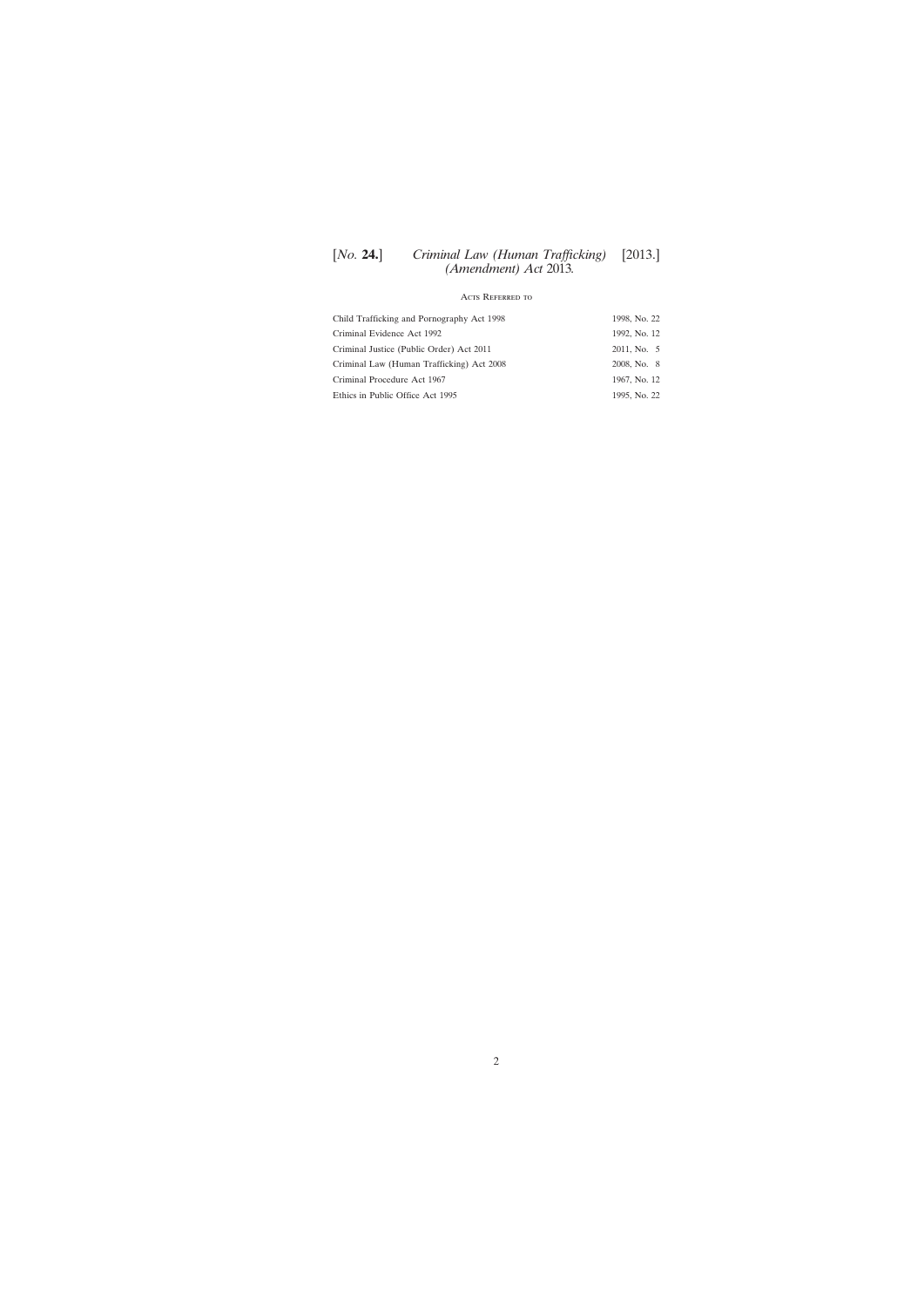# [*No.* **24.**] [2013.] *Criminal Law (Human Trafficking) (Amendment) Act* 2013*.*

# Acts Referred to

| Child Trafficking and Pornography Act 1998 | 1998, No. 22 |
|--------------------------------------------|--------------|
| Criminal Evidence Act 1992                 | 1992, No. 12 |
| Criminal Justice (Public Order) Act 2011   | 2011, No. 5  |
| Criminal Law (Human Trafficking) Act 2008  | 2008, No. 8  |
| Criminal Procedure Act 1967                | 1967, No. 12 |
| Ethics in Public Office Act 1995           | 1995, No. 22 |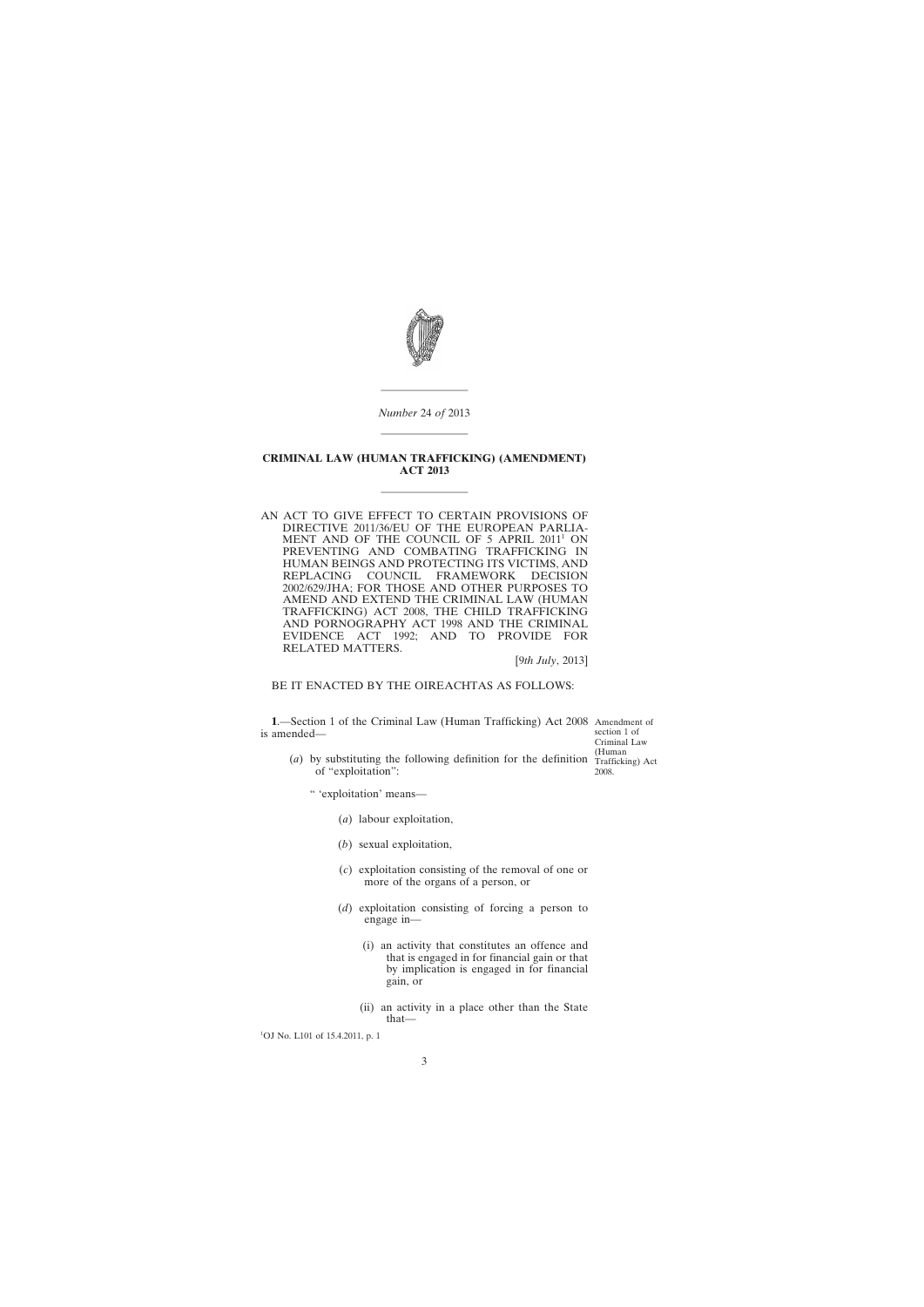<span id="page-2-0"></span>

*Number* 24 *of* 2013 ————————

————————

#### **CRIMINAL LAW (HUMAN TRAFFICKING) (AMENDMENT) ACT 2013**

————————

AN ACT TO GIVE EFFECT TO CERTAIN PROVISIONS OF DIRECTIVE 2011/36/EU OF THE EUROPEAN PARLIA-MENT AND OF THE COUNCIL OF 5 APRIL 2011<sup>1</sup> ON PREVENTING AND COMBATING TRAFFICKING IN HUMAN BEINGS AND PROTECTING ITS VICTIMS, AND REPLACING COUNCIL FRAMEWORK DECISION 2002/629/JHA; FOR THOSE AND OTHER PURPOSES TO AMEND AND EXTEND THE CRIMINAL LAW (HUMAN TRAFFICKING) ACT 2008, THE CHILD TRAFFICKING AND PORNOGRAPHY ACT 1998 AND THE CRIMINAL EVIDENCE ACT 1992; AND TO PROVIDE FOR RELATED MATTERS.

[9*th July*, 2013]

BE IT ENACTED BY THE OIREACHTAS AS FOLLOWS:

**1**.—Section 1 of the Criminal Law (Human Trafficking) Act 2008 Amendment of is amended—

section 1 of Criminal Law Trafficking) Act

(*a*) by substituting the following definition for the definition  $\frac{Human}{Traftick}$ of "exploitation": 2008.

" 'exploitation' means—

- (*a*) labour exploitation,
- (*b*) sexual exploitation,
- (*c*) exploitation consisting of the removal of one or more of the organs of a person, or
- (*d*) exploitation consisting of forcing a person to engage in—
	- (i) an activity that constitutes an offence and that is engaged in for financial gain or that by implication is engaged in for financial gain, or
	- (ii) an activity in a place other than the State that—

<sup>1</sup>OJ No. L101 of 15.4.2011, p. 1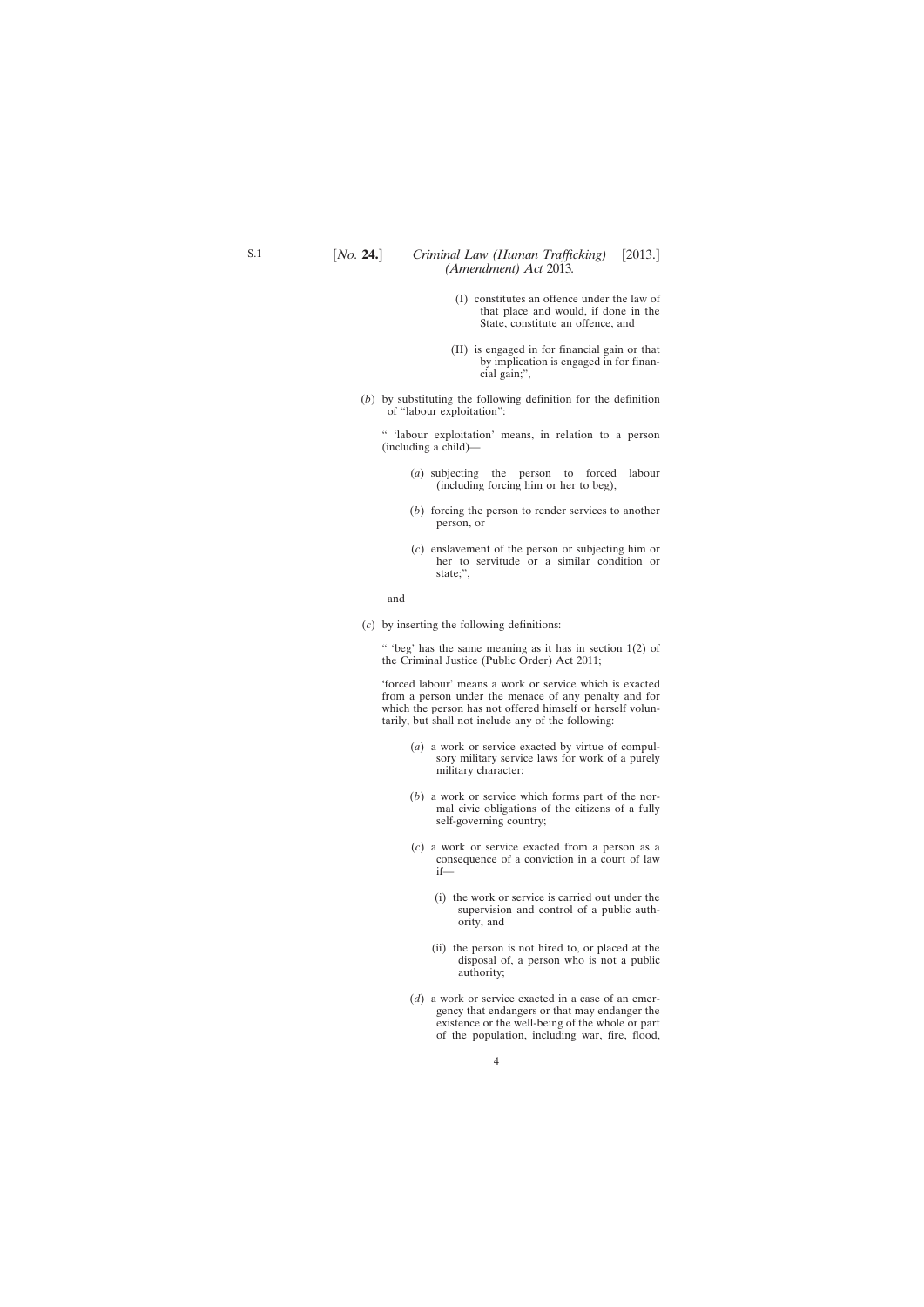## [*No.* **24.**] [2013.] *Criminal Law (Human Trafficking) (Amendment) Act* 2013*.*

- (I) constitutes an offence under the law of that place and would, if done in the State, constitute an offence, and
- (II) is engaged in for financial gain or that by implication is engaged in for financial gain;",
- (*b*) by substituting the following definition for the definition of "labour exploitation":

" 'labour exploitation' means, in relation to a person (including a child)—

- (*a*) subjecting the person to forced labour (including forcing him or her to beg),
- (*b*) forcing the person to render services to another person, or
- (*c*) enslavement of the person or subjecting him or her to servitude or a similar condition or state;",

#### and

(*c*) by inserting the following definitions:

" 'beg' has the same meaning as it has in section 1(2) of the Criminal Justice (Public Order) Act 2011;

'forced labour' means a work or service which is exacted from a person under the menace of any penalty and for which the person has not offered himself or herself voluntarily, but shall not include any of the following:

- (*a*) a work or service exacted by virtue of compulsory military service laws for work of a purely military character;
- (*b*) a work or service which forms part of the normal civic obligations of the citizens of a fully self-governing country;
- (*c*) a work or service exacted from a person as a consequence of a conviction in a court of law if—
	- (i) the work or service is carried out under the supervision and control of a public authority, and
	- (ii) the person is not hired to, or placed at the disposal of, a person who is not a public authority;
- (*d*) a work or service exacted in a case of an emergency that endangers or that may endanger the existence or the well-being of the whole or part of the population, including war, fire, flood,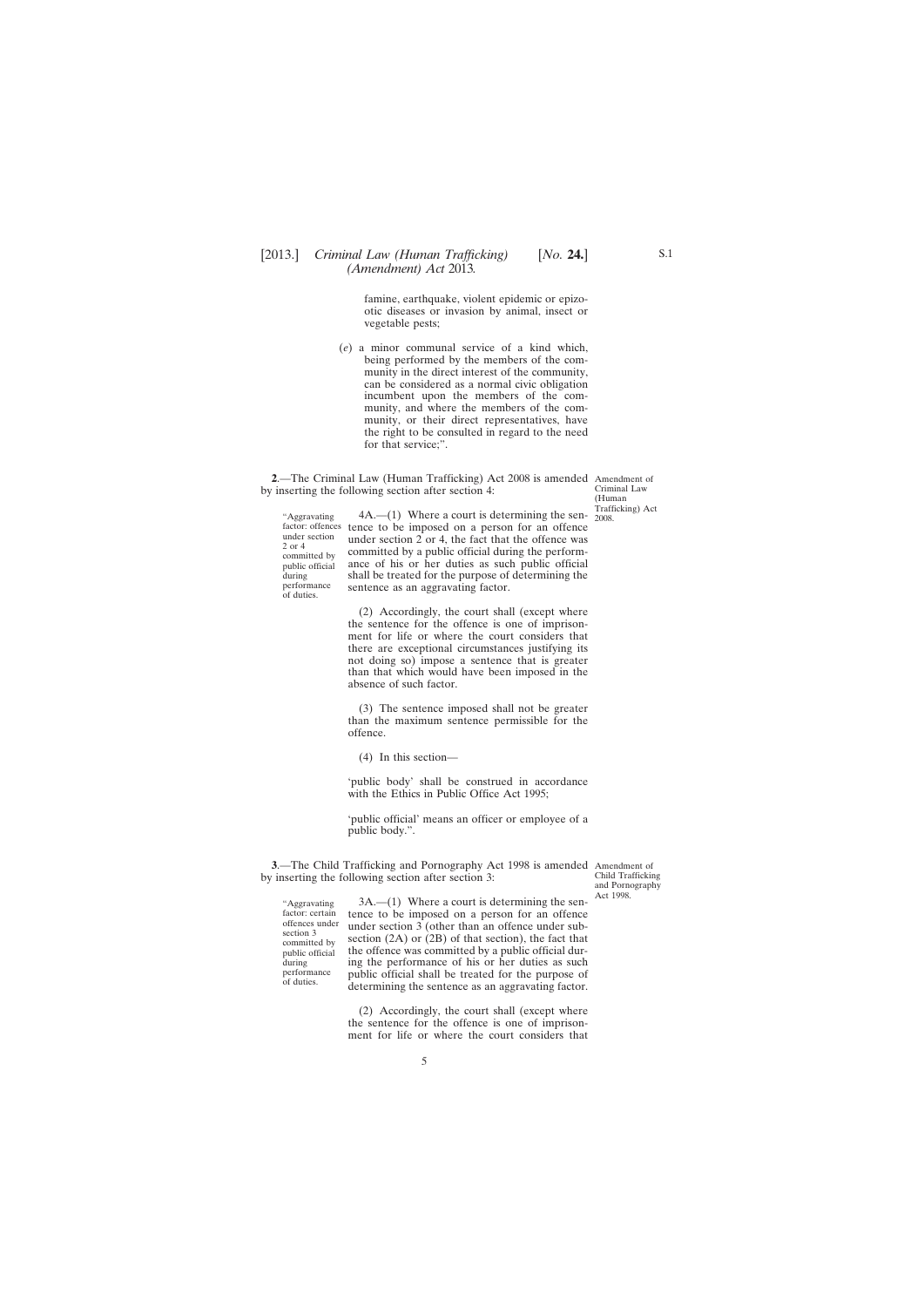<span id="page-4-0"></span>famine, earthquake, violent epidemic or epizootic diseases or invasion by animal, insect or vegetable pests;

(*e*) a minor communal service of a kind which, being performed by the members of the community in the direct interest of the community, can be considered as a normal civic obligation incumbent upon the members of the community, and where the members of the community, or their direct representatives, have the right to be consulted in regard to the need for that service;".

**2**.—The Criminal Law (Human Trafficking) Act 2008 is amended Amendment of by inserting the following section after section 4:

Criminal Law (Human Trafficking) Act

"Aggravating under section 2 or 4 committed by public official during performance of duties.

factor: offences tence to be imposed on a person for an offence  $4A$ .—(1) Where a court is determining the sen-  $\frac{2008}{2008}$ . under section  $2$  or 4, the fact that the offence was committed by a public official during the performance of his or her duties as such public official shall be treated for the purpose of determining the sentence as an aggravating factor.

> (2) Accordingly, the court shall (except where the sentence for the offence is one of imprisonment for life or where the court considers that there are exceptional circumstances justifying its not doing so) impose a sentence that is greater than that which would have been imposed in the absence of such factor.

> (3) The sentence imposed shall not be greater than the maximum sentence permissible for the offence.

(4) In this section—

'public body' shall be construed in accordance with the Ethics in Public Office Act 1995;

'public official' means an officer or employee of a public body.".

**3**.—The Child Trafficking and Pornography Act 1998 is amended Amendment of by inserting the following section after section 3:

Child Trafficking and Pornography Act 1998.

"Aggravating factor: certain offences under section 3 committed by public official during performance of duties.

3A.—(1) Where a court is determining the sentence to be imposed on a person for an offence under section  $3$  (other than an offence under subsection (2A) or (2B) of that section), the fact that the offence was committed by a public official during the performance of his or her duties as such public official shall be treated for the purpose of determining the sentence as an aggravating factor.

(2) Accordingly, the court shall (except where the sentence for the offence is one of imprisonment for life or where the court considers that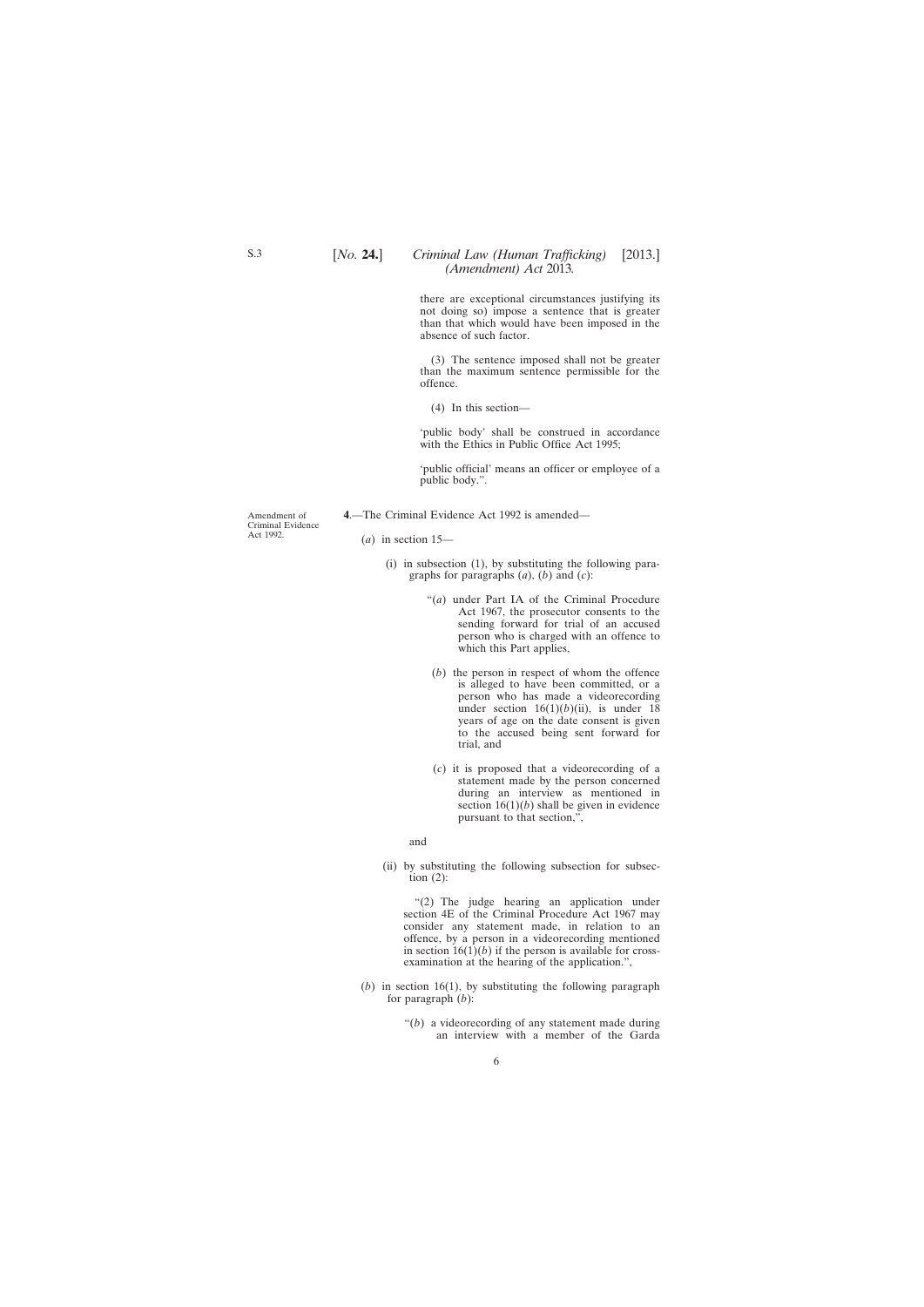## [*No.* **24.**] [2013.] *Criminal Law (Human Trafficking) (Amendment) Act* 2013*.*

there are exceptional circumstances justifying its not doing so) impose a sentence that is greater than that which would have been imposed in the absence of such factor.

(3) The sentence imposed shall not be greater than the maximum sentence permissible for the offence.

(4) In this section—

'public body' shall be construed in accordance with the Ethics in Public Office Act 1995;

'public official' means an officer or employee of a public body.".

**4**.—The Criminal Evidence Act 1992 is amended—

Amendment of Criminal Evidence Act 1992.

- (*a*) in section 15—
	- (i) in subsection (1), by substituting the following paragraphs for paragraphs (*a*), (*b*) and (*c*):
		- "(*a*) under Part IA of the Criminal Procedure Act 1967, the prosecutor consents to the sending forward for trial of an accused person who is charged with an offence to which this Part applies,
		- (*b*) the person in respect of whom the offence is alleged to have been committed, or a person who has made a videorecording under section  $16(1)(b)(ii)$ , is under 18 years of age on the date consent is given to the accused being sent forward for trial, and
		- (*c*) it is proposed that a videorecording of a statement made by the person concerned during an interview as mentioned in section  $16(1)(b)$  shall be given in evidence pursuant to that section,",

#### and

(ii) by substituting the following subsection for subsection  $(2)$ :

"(2) The judge hearing an application under section 4E of the Criminal Procedure Act 1967 may consider any statement made, in relation to an offence, by a person in a videorecording mentioned in section  $16(1)(b)$  if the person is available for crossexamination at the hearing of the application.",

(*b*) in section 16(1), by substituting the following paragraph for paragraph (*b*):

> "(*b*) a videorecording of any statement made during an interview with a member of the Garda

<span id="page-5-0"></span>S.3